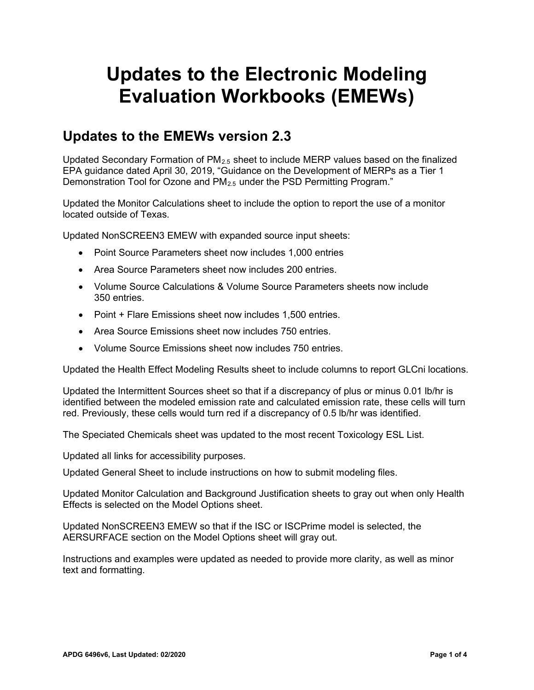# **Updates to the Electronic Modeling Evaluation Workbooks (EMEWs)**

#### **Updates to the EMEWs version 2.3**

Updated Secondary Formation of  $PM<sub>2.5</sub>$  sheet to include MERP values based on the finalized EPA guidance dated April 30, 2019, "Guidance on the Development of MERPs as a Tier 1 Demonstration Tool for Ozone and PM<sub>2.5</sub> under the PSD Permitting Program."

Updated the Monitor Calculations sheet to include the option to report the use of a monitor located outside of Texas.

Updated NonSCREEN3 EMEW with expanded source input sheets:

- Point Source Parameters sheet now includes 1,000 entries
- Area Source Parameters sheet now includes 200 entries.
- Volume Source Calculations & Volume Source Parameters sheets now include 350 entries.
- Point + Flare Emissions sheet now includes 1,500 entries.
- Area Source Emissions sheet now includes 750 entries.
- Volume Source Emissions sheet now includes 750 entries.

Updated the Health Effect Modeling Results sheet to include columns to report GLCni locations.

Updated the Intermittent Sources sheet so that if a discrepancy of plus or minus 0.01 lb/hr is identified between the modeled emission rate and calculated emission rate, these cells will turn red. Previously, these cells would turn red if a discrepancy of 0.5 lb/hr was identified.

The Speciated Chemicals sheet was updated to the most recent Toxicology ESL List.

Updated all links for accessibility purposes.

Updated General Sheet to include instructions on how to submit modeling files.

Updated Monitor Calculation and Background Justification sheets to gray out when only Health Effects is selected on the Model Options sheet.

Updated NonSCREEN3 EMEW so that if the ISC or ISCPrime model is selected, the AERSURFACE section on the Model Options sheet will gray out.

Instructions and examples were updated as needed to provide more clarity, as well as minor text and formatting.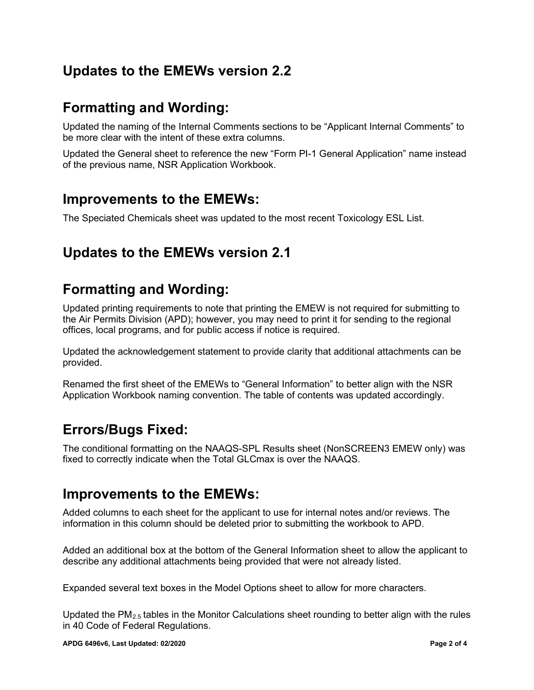## **Updates to the EMEWs version 2.2**

# **Formatting and Wording:**

Updated the naming of the Internal Comments sections to be "Applicant Internal Comments" to be more clear with the intent of these extra columns.

Updated the General sheet to reference the new "Form PI-1 General Application" name instead of the previous name, NSR Application Workbook.

#### **Improvements to the EMEWs:**

The Speciated Chemicals sheet was updated to the most recent Toxicology ESL List.

## **Updates to the EMEWs version 2.1**

# **Formatting and Wording:**

Updated printing requirements to note that printing the EMEW is not required for submitting to the Air Permits Division (APD); however, you may need to print it for sending to the regional offices, local programs, and for public access if notice is required.

Updated the acknowledgement statement to provide clarity that additional attachments can be provided.

Renamed the first sheet of the EMEWs to "General Information" to better align with the NSR Application Workbook naming convention. The table of contents was updated accordingly.

## **Errors/Bugs Fixed:**

The conditional formatting on the NAAQS-SPL Results sheet (NonSCREEN3 EMEW only) was fixed to correctly indicate when the Total GLCmax is over the NAAQS.

#### **Improvements to the EMEWs:**

Added columns to each sheet for the applicant to use for internal notes and/or reviews. The information in this column should be deleted prior to submitting the workbook to APD.

Added an additional box at the bottom of the General Information sheet to allow the applicant to describe any additional attachments being provided that were not already listed.

Expanded several text boxes in the Model Options sheet to allow for more characters.

Updated the  $PM<sub>2.5</sub>$  tables in the Monitor Calculations sheet rounding to better align with the rules in 40 Code of Federal Regulations.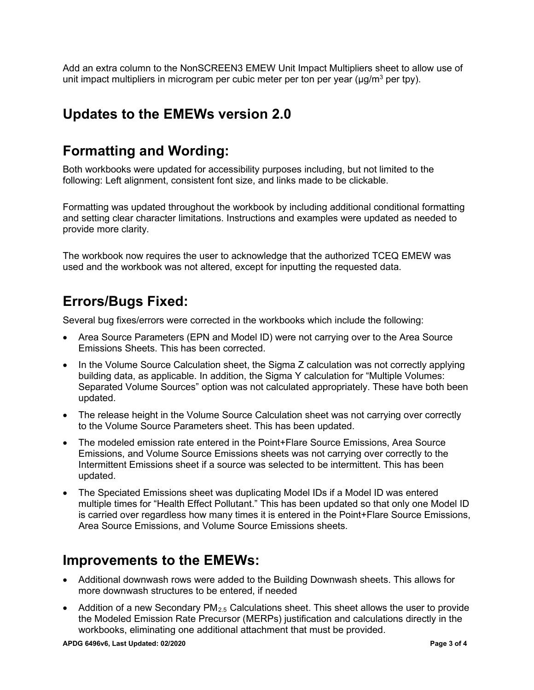Add an extra column to the NonSCREEN3 EMEW Unit Impact Multipliers sheet to allow use of unit impact multipliers in microgram per cubic meter per ton per year ( $\mu$ g/m<sup>3</sup> per tpy).

#### **Updates to the EMEWs version 2.0**

#### **Formatting and Wording:**

Both workbooks were updated for accessibility purposes including, but not limited to the following: Left alignment, consistent font size, and links made to be clickable.

Formatting was updated throughout the workbook by including additional conditional formatting and setting clear character limitations. Instructions and examples were updated as needed to provide more clarity.

The workbook now requires the user to acknowledge that the authorized TCEQ EMEW was used and the workbook was not altered, except for inputting the requested data.

# **Errors/Bugs Fixed:**

Several bug fixes/errors were corrected in the workbooks which include the following:

- Area Source Parameters (EPN and Model ID) were not carrying over to the Area Source Emissions Sheets. This has been corrected.
- In the Volume Source Calculation sheet, the Sigma Z calculation was not correctly applying building data, as applicable. In addition, the Sigma Y calculation for "Multiple Volumes: Separated Volume Sources" option was not calculated appropriately. These have both been updated.
- The release height in the Volume Source Calculation sheet was not carrying over correctly to the Volume Source Parameters sheet. This has been updated.
- The modeled emission rate entered in the Point+Flare Source Emissions, Area Source Emissions, and Volume Source Emissions sheets was not carrying over correctly to the Intermittent Emissions sheet if a source was selected to be intermittent. This has been updated.
- The Speciated Emissions sheet was duplicating Model IDs if a Model ID was entered multiple times for "Health Effect Pollutant." This has been updated so that only one Model ID is carried over regardless how many times it is entered in the Point+Flare Source Emissions, Area Source Emissions, and Volume Source Emissions sheets.

#### **Improvements to the EMEWs:**

- Additional downwash rows were added to the Building Downwash sheets. This allows for more downwash structures to be entered, if needed
- Addition of a new Secondary  $PM_{2.5}$  Calculations sheet. This sheet allows the user to provide the Modeled Emission Rate Precursor (MERPs) justification and calculations directly in the workbooks, eliminating one additional attachment that must be provided.